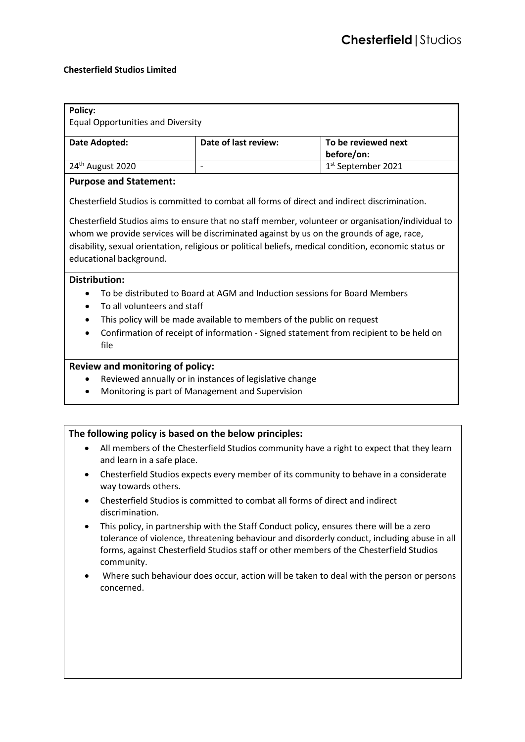# **Chesterfield Studios Limited**

| <b>Policy:</b>                                                                                                                                                                                                                                                                                                                     |                                                                                        |                                                                              |                                                                                                                                                                                                                                                                                  |  |
|------------------------------------------------------------------------------------------------------------------------------------------------------------------------------------------------------------------------------------------------------------------------------------------------------------------------------------|----------------------------------------------------------------------------------------|------------------------------------------------------------------------------|----------------------------------------------------------------------------------------------------------------------------------------------------------------------------------------------------------------------------------------------------------------------------------|--|
| <b>Equal Opportunities and Diversity</b>                                                                                                                                                                                                                                                                                           |                                                                                        |                                                                              |                                                                                                                                                                                                                                                                                  |  |
| <b>Date Adopted:</b>                                                                                                                                                                                                                                                                                                               |                                                                                        | Date of last review:                                                         | To be reviewed next<br>before/on:                                                                                                                                                                                                                                                |  |
| 24 <sup>th</sup> August 2020                                                                                                                                                                                                                                                                                                       |                                                                                        | $\frac{1}{2}$                                                                | 1 <sup>st</sup> September 2021                                                                                                                                                                                                                                                   |  |
| <b>Purpose and Statement:</b>                                                                                                                                                                                                                                                                                                      |                                                                                        |                                                                              |                                                                                                                                                                                                                                                                                  |  |
| Chesterfield Studios is committed to combat all forms of direct and indirect discrimination.                                                                                                                                                                                                                                       |                                                                                        |                                                                              |                                                                                                                                                                                                                                                                                  |  |
| Chesterfield Studios aims to ensure that no staff member, volunteer or organisation/individual to<br>whom we provide services will be discriminated against by us on the grounds of age, race,<br>disability, sexual orientation, religious or political beliefs, medical condition, economic status or<br>educational background. |                                                                                        |                                                                              |                                                                                                                                                                                                                                                                                  |  |
| <b>Distribution:</b>                                                                                                                                                                                                                                                                                                               |                                                                                        |                                                                              |                                                                                                                                                                                                                                                                                  |  |
|                                                                                                                                                                                                                                                                                                                                    | To be distributed to Board at AGM and Induction sessions for Board Members             |                                                                              |                                                                                                                                                                                                                                                                                  |  |
| To all volunteers and staff                                                                                                                                                                                                                                                                                                        |                                                                                        |                                                                              |                                                                                                                                                                                                                                                                                  |  |
| This policy will be made available to members of the public on request                                                                                                                                                                                                                                                             |                                                                                        |                                                                              |                                                                                                                                                                                                                                                                                  |  |
|                                                                                                                                                                                                                                                                                                                                    | Confirmation of receipt of information - Signed statement from recipient to be held on |                                                                              |                                                                                                                                                                                                                                                                                  |  |
|                                                                                                                                                                                                                                                                                                                                    | file                                                                                   |                                                                              |                                                                                                                                                                                                                                                                                  |  |
| Review and monitoring of policy:                                                                                                                                                                                                                                                                                                   |                                                                                        |                                                                              |                                                                                                                                                                                                                                                                                  |  |
|                                                                                                                                                                                                                                                                                                                                    | Reviewed annually or in instances of legislative change                                |                                                                              |                                                                                                                                                                                                                                                                                  |  |
|                                                                                                                                                                                                                                                                                                                                    | Monitoring is part of Management and Supervision                                       |                                                                              |                                                                                                                                                                                                                                                                                  |  |
|                                                                                                                                                                                                                                                                                                                                    |                                                                                        |                                                                              |                                                                                                                                                                                                                                                                                  |  |
| The following policy is based on the below principles:                                                                                                                                                                                                                                                                             |                                                                                        |                                                                              |                                                                                                                                                                                                                                                                                  |  |
| $\bullet$                                                                                                                                                                                                                                                                                                                          | and learn in a safe place.                                                             |                                                                              | All members of the Chesterfield Studios community have a right to expect that they learn                                                                                                                                                                                         |  |
|                                                                                                                                                                                                                                                                                                                                    | way towards others.                                                                    |                                                                              | Chesterfield Studios expects every member of its community to behave in a considerate                                                                                                                                                                                            |  |
| $\bullet$                                                                                                                                                                                                                                                                                                                          | discrimination.                                                                        | Chesterfield Studios is committed to combat all forms of direct and indirect |                                                                                                                                                                                                                                                                                  |  |
| ٠                                                                                                                                                                                                                                                                                                                                  | community.                                                                             |                                                                              | This policy, in partnership with the Staff Conduct policy, ensures there will be a zero<br>tolerance of violence, threatening behaviour and disorderly conduct, including abuse in all<br>forms, against Chesterfield Studios staff or other members of the Chesterfield Studios |  |
| $\bullet$                                                                                                                                                                                                                                                                                                                          | concerned.                                                                             |                                                                              | Where such behaviour does occur, action will be taken to deal with the person or persons                                                                                                                                                                                         |  |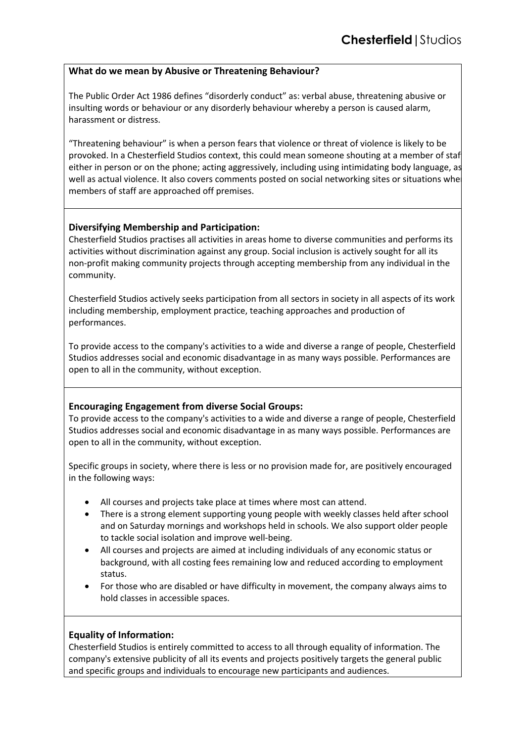# **What do we mean by Abusive or Threatening Behaviour?**

The Public Order Act 1986 defines "disorderly conduct" as: verbal abuse, threatening abusive or insulting words or behaviour or any disorderly behaviour whereby a person is caused alarm, harassment or distress.

"Threatening behaviour" is when a person fears that violence or threat of violence is likely to be provoked. In a Chesterfield Studios context, this could mean someone shouting at a member of staff, either in person or on the phone; acting aggressively, including using intimidating body language, as well as actual violence. It also covers comments posted on social networking sites or situations where members of staff are approached off premises.

# **Diversifying Membership and Participation:**

Chesterfield Studios practises all activities in areas home to diverse communities and performs its activities without discrimination against any group. Social inclusion is actively sought for all its non-profit making community projects through accepting membership from any individual in the community.

Chesterfield Studios actively seeks participation from all sectors in society in all aspects of its work including membership, employment practice, teaching approaches and production of performances.

To provide access to the company's activities to a wide and diverse a range of people, Chesterfield Studios addresses social and economic disadvantage in as many ways possible. Performances are open to all in the community, without exception.

# **Encouraging Engagement from diverse Social Groups:**

To provide access to the company's activities to a wide and diverse a range of people, Chesterfield Studios addresses social and economic disadvantage in as many ways possible. Performances are open to all in the community, without exception.

Specific groups in society, where there is less or no provision made for, are positively encouraged in the following ways:

- All courses and projects take place at times where most can attend.
- There is a strong element supporting young people with weekly classes held after school and on Saturday mornings and workshops held in schools. We also support older people to tackle social isolation and improve well-being.
- All courses and projects are aimed at including individuals of any economic status or background, with all costing fees remaining low and reduced according to employment status.
- For those who are disabled or have difficulty in movement, the company always aims to hold classes in accessible spaces.

# **Equality of Information:**

Chesterfield Studios is entirely committed to access to all through equality of information. The company's extensive publicity of all its events and projects positively targets the general public and specific groups and individuals to encourage new participants and audiences.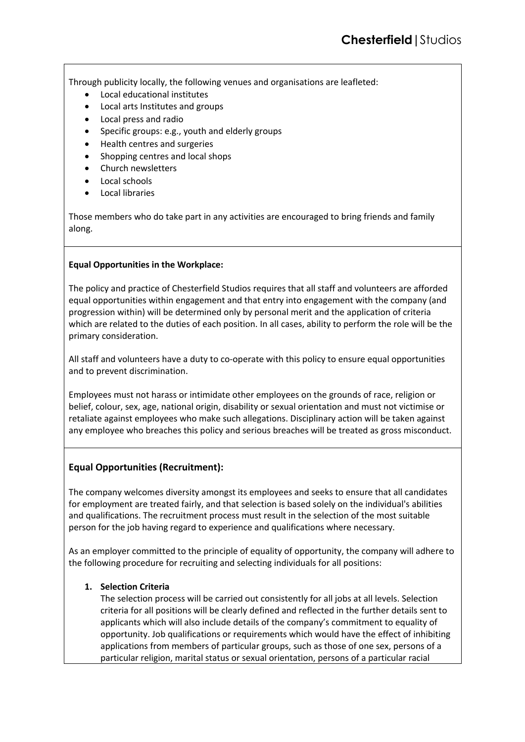Through publicity locally, the following venues and organisations are leafleted:

- Local educational institutes
- Local arts Institutes and groups
- Local press and radio
- Specific groups: e.g., youth and elderly groups
- Health centres and surgeries
- Shopping centres and local shops
- Church newsletters
- Local schools
- Local libraries

Those members who do take part in any activities are encouraged to bring friends and family along.

# **Equal Opportunities in the Workplace:**

The policy and practice of Chesterfield Studios requires that all staff and volunteers are afforded equal opportunities within engagement and that entry into engagement with the company (and progression within) will be determined only by personal merit and the application of criteria which are related to the duties of each position. In all cases, ability to perform the role will be the primary consideration.

All staff and volunteers have a duty to co-operate with this policy to ensure equal opportunities and to prevent discrimination.

Employees must not harass or intimidate other employees on the grounds of race, religion or belief, colour, sex, age, national origin, disability or sexual orientation and must not victimise or retaliate against employees who make such allegations. Disciplinary action will be taken against any employee who breaches this policy and serious breaches will be treated as gross misconduct.

# **Equal Opportunities (Recruitment):**

The company welcomes diversity amongst its employees and seeks to ensure that all candidates for employment are treated fairly, and that selection is based solely on the individual's abilities and qualifications. The recruitment process must result in the selection of the most suitable person for the job having regard to experience and qualifications where necessary.

As an employer committed to the principle of equality of opportunity, the company will adhere to the following procedure for recruiting and selecting individuals for all positions:

# **1. Selection Criteria**

The selection process will be carried out consistently for all jobs at all levels. Selection criteria for all positions will be clearly defined and reflected in the further details sent to applicants which will also include details of the company's commitment to equality of opportunity. Job qualifications or requirements which would have the effect of inhibiting applications from members of particular groups, such as those of one sex, persons of a particular religion, marital status or sexual orientation, persons of a particular racial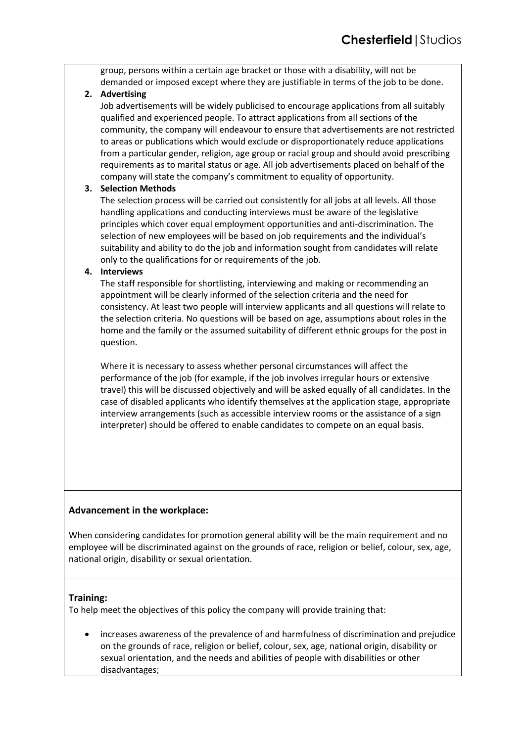group, persons within a certain age bracket or those with a disability, will not be demanded or imposed except where they are justifiable in terms of the job to be done.

# **2. Advertising**

Job advertisements will be widely publicised to encourage applications from all suitably qualified and experienced people. To attract applications from all sections of the community, the company will endeavour to ensure that advertisements are not restricted to areas or publications which would exclude or disproportionately reduce applications from a particular gender, religion, age group or racial group and should avoid prescribing requirements as to marital status or age. All job advertisements placed on behalf of the company will state the company's commitment to equality of opportunity.

# **3. Selection Methods**

The selection process will be carried out consistently for all jobs at all levels. All those handling applications and conducting interviews must be aware of the legislative principles which cover equal employment opportunities and anti-discrimination. The selection of new employees will be based on job requirements and the individual's suitability and ability to do the job and information sought from candidates will relate only to the qualifications for or requirements of the job.

# **4. Interviews**

The staff responsible for shortlisting, interviewing and making or recommending an appointment will be clearly informed of the selection criteria and the need for consistency. At least two people will interview applicants and all questions will relate to the selection criteria. No questions will be based on age, assumptions about roles in the home and the family or the assumed suitability of different ethnic groups for the post in question.

Where it is necessary to assess whether personal circumstances will affect the performance of the job (for example, if the job involves irregular hours or extensive travel) this will be discussed objectively and will be asked equally of all candidates. In the case of disabled applicants who identify themselves at the application stage, appropriate interview arrangements (such as accessible interview rooms or the assistance of a sign interpreter) should be offered to enable candidates to compete on an equal basis.

# **Advancement in the workplace:**

When considering candidates for promotion general ability will be the main requirement and no employee will be discriminated against on the grounds of race, religion or belief, colour, sex, age, national origin, disability or sexual orientation.

# **Training:**

To help meet the objectives of this policy the company will provide training that:

• increases awareness of the prevalence of and harmfulness of discrimination and prejudice on the grounds of race, religion or belief, colour, sex, age, national origin, disability or sexual orientation, and the needs and abilities of people with disabilities or other disadvantages;